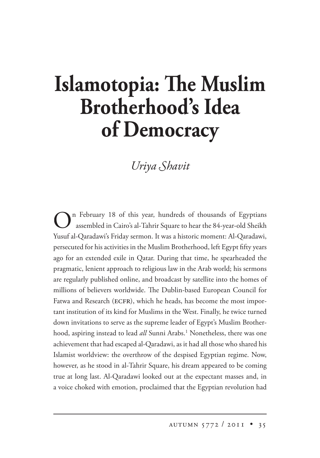## **Islamotopia: The Muslim Brotherhood's Idea of Democracy**

## *Uriya Shavit*

On February 18 of this year, hundreds of thousands of Egyptians assembled in Cairo's al-Tahrir Square to hear the 84-year-old Sheikh Yusuf al-Qaradawi's Friday sermon. It was a historic moment: Al-Qaradawi, persecuted for his activities in the Muslim Brotherhood, left Egypt fifty years ago for an extended exile in Qatar. During that time, he spearheaded the pragmatic, lenient approach to religious law in the Arab world; his sermons are regularly published online, and broadcast by satellite into the homes of millions of believers worldwide. The Dublin-based European Council for Fatwa and Research (ECFR), which he heads, has become the most important institution of its kind for Muslims in the West. Finally, he twice turned down invitations to serve as the supreme leader of Egypt's Muslim Brotherhood, aspiring instead to lead *all*l Sunni Arabs.<sup>1</sup> Nonetheless, there was one achievement that had escaped al-Qaradawi, as it had all those who shared his Islamist worldview: the overthrow of the despised Egyptian regime. Now, however, as he stood in al-Tahrir Square, his dream appeared to be coming true at long last. Al-Qaradawi looked out at the expectant masses and, in a voice choked with emotion, proclaimed that the Egyptian revolution had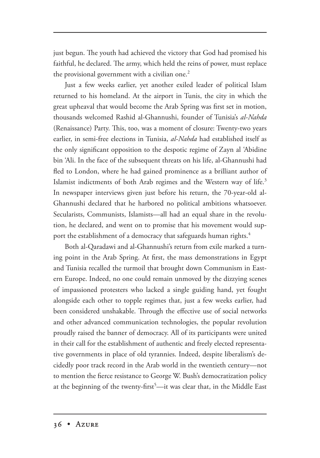just begun. The youth had achieved the victory that God had promised his faithful, he declared. The army, which held the reins of power, must replace the provisional government with a civilian one.<sup>2</sup>

Just a few weeks earlier, yet another exiled leader of political Islam returned to his homeland. At the airport in Tunis, the city in which the great upheaval that would become the Arab Spring was first set in motion, thousands welcomed Rashid al-Ghannushi, founder of Tunisia's *al-Nahda*  (Renaissance) Party. This, too, was a moment of closure: Twenty-two years earlier, in semi-free elections in Tunisia, *al-Nahda* had established itself as the only significant opposition to the despotic regime of Zayn al 'Abidine bin 'Ali. In the face of the subsequent threats on his life, al-Ghannushi had fled to London, where he had gained prominence as a brilliant author of Islamist indictments of both Arab regimes and the Western way of life.<sup>3</sup> In newspaper interviews given just before his return, the 70-year-old al-Ghannushi declared that he harbored no political ambitions whatsoever. Secularists, Communists, Islamists—all had an equal share in the revolution, he declared, and went on to promise that his movement would support the establishment of a democracy that safeguards human rights.<sup>4</sup>

Both al-Qaradawi and al-Ghannushi's return from exile marked a turning point in the Arab Spring. At first, the mass demonstrations in Egypt and Tunisia recalled the turmoil that brought down Communism in Eastern Europe. Indeed, no one could remain unmoved by the dizzying scenes of impassioned protesters who lacked a single guiding hand, yet fought alongside each other to topple regimes that, just a few weeks earlier, had been considered unshakable. Through the effective use of social networks and other advanced communication technologies, the popular revolution proudly raised the banner of democracy. All of its participants were united in their call for the establishment of authentic and freely elected representative governments in place of old tyrannies. Indeed, despite liberalism's decidedly poor track record in the Arab world in the twentieth century—not to mention the fierce resistance to George W. Bush's democratization policy at the beginning of the twenty-first<sup>5</sup>—it was clear that, in the Middle East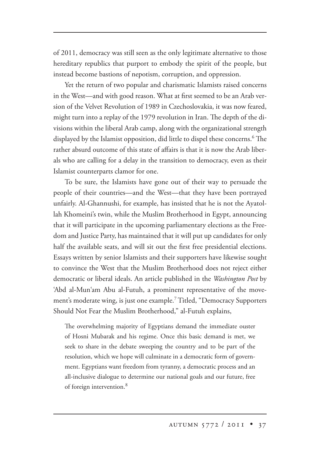of 2011, democracy was still seen as the only legitimate alternative to those hereditary republics that purport to embody the spirit of the people, but instead become bastions of nepotism, corruption, and oppression.

Yet the return of two popular and charismatic Islamists raised concerns in the West—and with good reason. What at first seemed to be an Arab version of the Velvet Revolution of 1989 in Czechoslovakia, it was now feared, might turn into a replay of the 1979 revolution in Iran. The depth of the divisions within the liberal Arab camp, along with the organizational strength displayed by the Islamist opposition, did little to dispel these concerns.<sup>6</sup> The rather absurd outcome of this state of affairs is that it is now the Arab liberals who are calling for a delay in the transition to democracy, even as their Islamist counterparts clamor for one.

To be sure, the Islamists have gone out of their way to persuade the people of their countries—and the West—that they have been portrayed unfairly. Al-Ghannushi, for example, has insisted that he is not the Ayatollah Khomeini's twin, while the Muslim Brotherhood in Egypt, announcing that it will participate in the upcoming parliamentary elections as the Freedom and Justice Party, has maintained that it will put up candidates for only half the available seats, and will sit out the first free presidential elections. Essays written by senior Islamists and their supporters have likewise sought to convince the West that the Muslim Brotherhood does not reject either democratic or liberal ideals. An article published in the *Washington Post* by 'Abd al-Mun'am Abu al-Futuh, a prominent representative of the movement's moderate wing, is just one example.7 Titled, "Democracy Supporters Should Not Fear the Muslim Brotherhood," al-Futuh explains,

The overwhelming majority of Egyptians demand the immediate ouster of Hosni Mubarak and his regime. Once this basic demand is met, we seek to share in the debate sweeping the country and to be part of the resolution, which we hope will culminate in a democratic form of government. Egyptians want freedom from tyranny, a democratic process and an all-inclusive dialogue to determine our national goals and our future, free of foreign intervention.<sup>8</sup>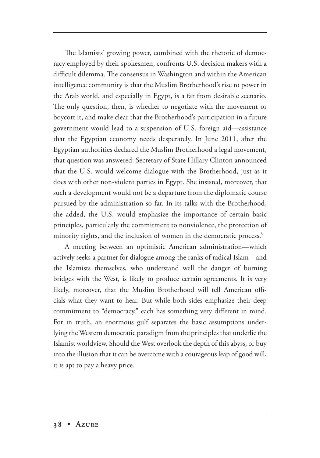The Islamists' growing power, combined with the rhetoric of democracy employed by their spokesmen, confronts U.S. decision makers with a difficult dilemma. The consensus in Washington and within the American intelligence community is that the Muslim Brotherhood's rise to power in the Arab world, and especially in Egypt, is a far from desirable scenario. The only question, then, is whether to negotiate with the movement or boycott it, and make clear that the Brotherhood's participation in a future government would lead to a suspension of U.S. foreign aid—assistance that the Egyptian economy needs desperately. In June 2011, after the Egyptian authorities declared the Muslim Brotherhood a legal movement, that question was answered: Secretary of State Hillary Clinton announced that the U.S. would welcome dialogue with the Brotherhood, just as it does with other non-violent parties in Egypt. She insisted, moreover, that such a development would not be a departure from the diplomatic course pursued by the administration so far. In its talks with the Brotherhood, she added, the U.S. would emphasize the importance of certain basic principles, particularly the commitment to nonviolence, the protection of minority rights, and the inclusion of women in the democratic process.<sup>9</sup>

A meeting between an optimistic American administration—which actively seeks a partner for dialogue among the ranks of radical Islam—and the Islamists themselves, who understand well the danger of burning bridges with the West, is likely to produce certain agreements. It is very likely, moreover, that the Muslim Brotherhood will tell American officials what they want to hear. But while both sides emphasize their deep commitment to "democracy," each has something very different in mind. For in truth, an enormous gulf separates the basic assumptions underlying the Western democratic paradigm from the principles that underlie the Islamist worldview. Should the West overlook the depth of this abyss, or buy into the illusion that it can be overcome with a courageous leap of good will, it is apt to pay a heavy price.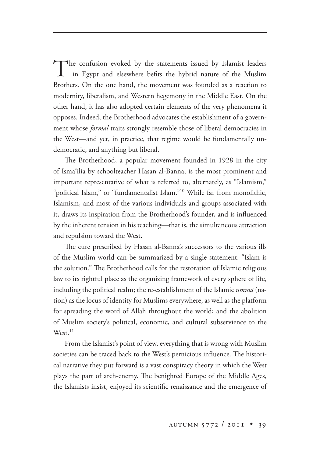The confusion evoked by the statements issued by Islamist leaders in Egypt and elsewhere befits the hybrid nature of the Muslim Brothers. On the one hand, the movement was founded as a reaction to modernity, liberalism, and Western hegemony in the Middle East. On the other hand, it has also adopted certain elements of the very phenomena it opposes. Indeed, the Brotherhood advocates the establishment of a government whose *formal* traits strongly resemble those of liberal democracies in the West—and yet, in practice, that regime would be fundamentally undemocratic, and anything but liberal.

The Brotherhood, a popular movement founded in 1928 in the city of Isma'ilia by schoolteacher Hasan al-Banna, is the most prominent and important representative of what is referred to, alternately, as "Islamism," "political Islam," or "fundamentalist Islam."10 While far from monolithic, Islamism, and most of the various individuals and groups associated with it, draws its inspiration from the Brotherhood's founder, and is influenced by the inherent tension in his teaching—that is, the simultaneous attraction and repulsion toward the West.

The cure prescribed by Hasan al-Banna's successors to the various ills of the Muslim world can be summarized by a single statement: "Islam is the solution." The Brotherhood calls for the restoration of Islamic religious law to its rightful place as the organizing framework of every sphere of life, including the political realm; the re-establishment of the Islamic *umma* (nation) as the locus of identity for Muslims everywhere, as well as the platform for spreading the word of Allah throughout the world; and the abolition of Muslim society's political, economic, and cultural subservience to the  $West.<sup>11</sup>$ 

From the Islamist's point of view, everything that is wrong with Muslim societies can be traced back to the West's pernicious influence. The historical narrative they put forward is a vast conspiracy theory in which the West plays the part of arch-enemy. The benighted Europe of the Middle Ages, the Islamists insist, enjoyed its scientific renaissance and the emergence of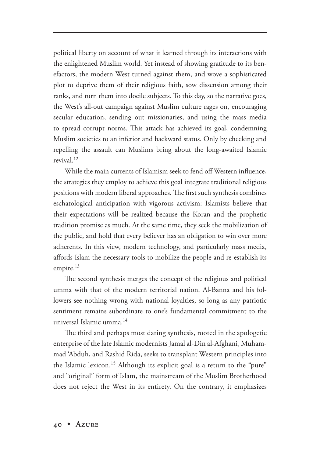political liberty on account of what it learned through its interactions with the enlightened Muslim world. Yet instead of showing gratitude to its benefactors, the modern West turned against them, and wove a sophisticated plot to deprive them of their religious faith, sow dissension among their ranks, and turn them into docile subjects. To this day, so the narrative goes, the West's all-out campaign against Muslim culture rages on, encouraging secular education, sending out missionaries, and using the mass media to spread corrupt norms. This attack has achieved its goal, condemning Muslim societies to an inferior and backward status. Only by checking and repelling the assault can Muslims bring about the long-awaited Islamic revival.12

While the main currents of Islamism seek to fend off Western influence, the strategies they employ to achieve this goal integrate traditional religious positions with modern liberal approaches. The first such synthesis combines eschatological anticipation with vigorous activism: Islamists believe that their expectations will be realized because the Koran and the prophetic tradition promise as much. At the same time, they seek the mobilization of the public, and hold that every believer has an obligation to win over more adherents. In this view, modern technology, and particularly mass media, affords Islam the necessary tools to mobilize the people and re-establish its empire. $13$ 

The second synthesis merges the concept of the religious and political umma with that of the modern territorial nation. Al-Banna and his followers see nothing wrong with national loyalties, so long as any patriotic sentiment remains subordinate to one's fundamental commitment to the universal Islamic umma.14

The third and perhaps most daring synthesis, rooted in the apologetic enterprise of the late Islamic modernists Jamal al-Din al-Afghani, Muhammad 'Abduh, and Rashid Rida, seeks to transplant Western principles into the Islamic lexicon.<sup>15</sup> Although its explicit goal is a return to the "pure" and "original" form of Islam, the mainstream of the Muslim Brotherhood does not reject the West in its entirety. On the contrary, it emphasizes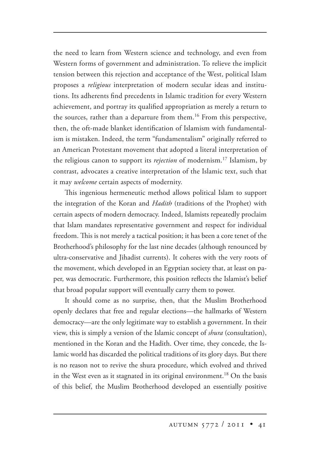the need to learn from Western science and technology, and even from Western forms of government and administration. To relieve the implicit tension between this rejection and acceptance of the West, political Islam proposes a *religious* interpretation of modern secular ideas and institutions. Its adherents find precedents in Islamic tradition for every Western achievement, and portray its qualified appropriation as merely a return to the sources, rather than a departure from them.<sup>16</sup> From this perspective, then, the oft-made blanket identification of Islamism with fundamentalism is mistaken. Indeed, the term "fundamentalism" originally referred to an American Protestant movement that adopted a literal interpretation of the religious canon to support its *rejection* of modernism.17 Islamism, by contrast, advocates a creative interpretation of the Islamic text, such that it may *welcome* certain aspects of modernity.

This ingenious hermeneutic method allows political Islam to support the integration of the Koran and *Hadith* (traditions of the Prophet) with certain aspects of modern democracy. Indeed, Islamists repeatedly proclaim that Islam mandates representative government and respect for individual freedom. This is not merely a tactical position; it has been a core tenet of the Brotherhood's philosophy for the last nine decades (although renounced by ultra-conservative and Jihadist currents). It coheres with the very roots of the movement, which developed in an Egyptian society that, at least on paper, was democratic. Furthermore, this position reflects the Islamist's belief that broad popular support will eventually carry them to power.

It should come as no surprise, then, that the Muslim Brotherhood openly declares that free and regular elections—the hallmarks of Western democracy—are the only legitimate way to establish a government. In their view, this is simply a version of the Islamic concept of *shura* (consultation), mentioned in the Koran and the Hadith. Over time, they concede, the Islamic world has discarded the political traditions of its glory days. But there is no reason not to revive the shura procedure, which evolved and thrived in the West even as it stagnated in its original environment.<sup>18</sup> On the basis of this belief, the Muslim Brotherhood developed an essentially positive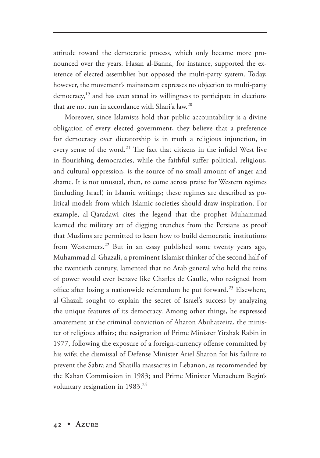attitude toward the democratic process, which only became more pronounced over the years. Hasan al-Banna, for instance, supported the existence of elected assemblies but opposed the multi-party system. Today, however, the movement's mainstream expresses no objection to multi-party  $democracy<sup>19</sup>$  and has even stated its willingness to participate in elections that are not run in accordance with Shari'a law.20

Moreover, since Islamists hold that public accountability is a divine obligation of every elected government, they believe that a preference for democracy over dictatorship is in truth a religious injunction, in every sense of the word.<sup>21</sup> The fact that citizens in the infidel West live in flourishing democracies, while the faithful suffer political, religious, and cultural oppression, is the source of no small amount of anger and shame. It is not unusual, then, to come across praise for Western regimes (including Israel) in Islamic writings; these regimes are described as political models from which Islamic societies should draw inspiration. For example, al-Qaradawi cites the legend that the prophet Muhammad learned the military art of digging trenches from the Persians as proof that Muslims are permitted to learn how to build democratic institutions from Westerners.<sup>22</sup> But in an essay published some twenty years ago, Muhammad al-Ghazali, a prominent Islamist thinker of the second half of the twentieth century, lamented that no Arab general who held the reins of power would ever behave like Charles de Gaulle, who resigned from office after losing a nationwide referendum he put forward.<sup>23</sup> Elsewhere, al-Ghazali sought to explain the secret of Israel's success by analyzing the unique features of its democracy. Among other things, he expressed amazement at the criminal conviction of Aharon Abuhatzeira, the minister of religious affairs; the resignation of Prime Minister Yitzhak Rabin in 1977, following the exposure of a foreign-currency offense committed by his wife; the dismissal of Defense Minister Ariel Sharon for his failure to prevent the Sabra and Shatilla massacres in Lebanon, as recommended by the Kahan Commission in 1983; and Prime Minister Menachem Begin's voluntary resignation in 1983.<sup>24</sup>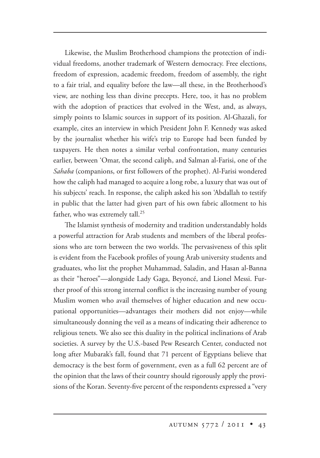Likewise, the Muslim Brotherhood champions the protection of individual freedoms, another trademark of Western democracy. Free elections, freedom of expression, academic freedom, freedom of assembly, the right to a fair trial, and equality before the law—all these, in the Brotherhood's view, are nothing less than divine precepts. Here, too, it has no problem with the adoption of practices that evolved in the West, and, as always, simply points to Islamic sources in support of its position. Al-Ghazali, for example, cites an interview in which President John F. Kennedy was asked by the journalist whether his wife's trip to Europe had been funded by taxpayers. He then notes a similar verbal confrontation, many centuries earlier, between 'Omar, the second caliph, and Salman al-Farisi, one of the *Sahaba* (companions, or first followers of the prophet). Al-Farisi wondered how the caliph had managed to acquire a long robe, a luxury that was out of his subjects' reach. In response, the caliph asked his son 'Abdallah to testify in public that the latter had given part of his own fabric allotment to his father, who was extremely tall.<sup>25</sup>

The Islamist synthesis of modernity and tradition understandably holds a powerful attraction for Arab students and members of the liberal professions who are torn between the two worlds. The pervasiveness of this split is evident from the Facebook profiles of young Arab university students and graduates, who list the prophet Muhammad, Saladin, and Hasan al-Banna as their "heroes"—alongside Lady Gaga, Beyoncé, and Lionel Messi. Further proof of this strong internal conflict is the increasing number of young Muslim women who avail themselves of higher education and new occupational opportunities—advantages their mothers did not enjoy—while simultaneously donning the veil as a means of indicating their adherence to religious tenets. We also see this duality in the political inclinations of Arab societies. A survey by the U.S.-based Pew Research Center, conducted not long after Mubarak's fall, found that 71 percent of Egyptians believe that democracy is the best form of government, even as a full 62 percent are of the opinion that the laws of their country should rigorously apply the provisions of the Koran. Seventy-five percent of the respondents expressed a "very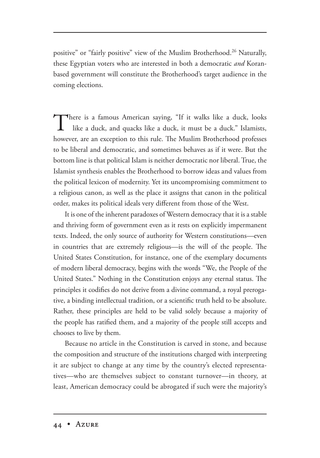positive" or "fairly positive" view of the Muslim Brotherhood.<sup>26</sup> Naturally, these Egyptian voters who are interested in both a democratic *and* Koranbased government will constitute the Brotherhood's target audience in the coming elections.

There is a famous American saying, "If it walks like a duck, looks like a duck, and quacks like a duck, it must be a duck." Islamists, however, are an exception to this rule. The Muslim Brotherhood professes to be liberal and democratic, and sometimes behaves as if it were. But the bottom line is that political Islam is neither democratic nor liberal. True, the Islamist synthesis enables the Brotherhood to borrow ideas and values from the political lexicon of modernity. Yet its uncompromising commitment to a religious canon, as well as the place it assigns that canon in the political order, makes its political ideals very different from those of the West.

It is one of the inherent paradoxes of Western democracy that it is a stable and thriving form of government even as it rests on explicitly impermanent texts. Indeed, the only source of authority for Western constitutions—even in countries that are extremely religious—is the will of the people. The United States Constitution, for instance, one of the exemplary documents of modern liberal democracy, begins with the words "We, the People of the United States." Nothing in the Constitution enjoys any eternal status. The principles it codifies do not derive from a divine command, a royal prerogative, a binding intellectual tradition, or a scientific truth held to be absolute. Rather, these principles are held to be valid solely because a majority of the people has ratified them, and a majority of the people still accepts and chooses to live by them.

Because no article in the Constitution is carved in stone, and because the composition and structure of the institutions charged with interpreting it are subject to change at any time by the country's elected representatives—who are themselves subject to constant turnover—in theory, at least, American democracy could be abrogated if such were the majority's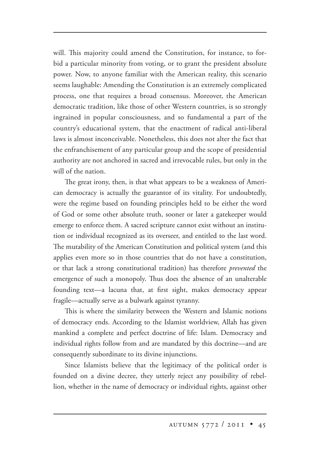will. This majority could amend the Constitution, for instance, to forbid a particular minority from voting, or to grant the president absolute power. Now, to anyone familiar with the American reality, this scenario seems laughable: Amending the Constitution is an extremely complicated process, one that requires a broad consensus. Moreover, the American democratic tradition, like those of other Western countries, is so strongly ingrained in popular consciousness, and so fundamental a part of the country's educational system, that the enactment of radical anti-liberal laws is almost inconceivable. Nonetheless, this does not alter the fact that the enfranchisement of any particular group and the scope of presidential authority are not anchored in sacred and irrevocable rules, but only in the will of the nation.

The great irony, then, is that what appears to be a weakness of American democracy is actually the guarantor of its vitality. For undoubtedly, were the regime based on founding principles held to be either the word of God or some other absolute truth, sooner or later a gatekeeper would emerge to enforce them. A sacred scripture cannot exist without an institution or individual recognized as its overseer, and entitled to the last word. The mutability of the American Constitution and political system (and this applies even more so in those countries that do not have a constitution, or that lack a strong constitutional tradition) has therefore *prevented* the emergence of such a monopoly. Thus does the absence of an unalterable founding text—a lacuna that, at first sight, makes democracy appear fragile—actually serve as a bulwark against tyranny.

This is where the similarity between the Western and Islamic notions of democracy ends. According to the Islamist worldview, Allah has given mankind a complete and perfect doctrine of life: Islam. Democracy and individual rights follow from and are mandated by this doctrine—and are consequently subordinate to its divine injunctions.

Since Islamists believe that the legitimacy of the political order is founded on a divine decree, they utterly reject any possibility of rebellion, whether in the name of democracy or individual rights, against other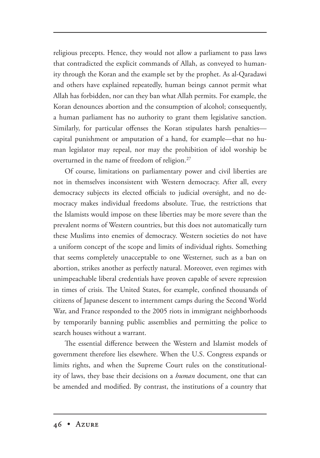religious precepts. Hence, they would not allow a parliament to pass laws that contradicted the explicit commands of Allah, as conveyed to humanity through the Koran and the example set by the prophet. As al-Qaradawi and others have explained repeatedly, human beings cannot permit what Allah has forbidden, nor can they ban what Allah permits. For example, the Koran denounces abortion and the consumption of alcohol; consequently, a human parliament has no authority to grant them legislative sanction. Similarly, for particular offenses the Koran stipulates harsh penalties capital punishment or amputation of a hand, for example—that no human legislator may repeal, nor may the prohibition of idol worship be overturned in the name of freedom of religion.<sup>27</sup>

Of course, limitations on parliamentary power and civil liberties are not in themselves inconsistent with Western democracy. After all, every democracy subjects its elected officials to judicial oversight, and no democracy makes individual freedoms absolute. True, the restrictions that the Islamists would impose on these liberties may be more severe than the prevalent norms of Western countries, but this does not automatically turn these Muslims into enemies of democracy. Western societies do not have a uniform concept of the scope and limits of individual rights. Something that seems completely unacceptable to one Westerner, such as a ban on abortion, strikes another as perfectly natural. Moreover, even regimes with unimpeachable liberal credentials have proven capable of severe repression in times of crisis. The United States, for example, confined thousands of citizens of Japanese descent to internment camps during the Second World War, and France responded to the 2005 riots in immigrant neighborhoods by temporarily banning public assemblies and permitting the police to search houses without a warrant.

The essential difference between the Western and Islamist models of government therefore lies elsewhere. When the U.S. Congress expands or limits rights, and when the Supreme Court rules on the constitutionality of laws, they base their decisions on a *human* document, one that can be amended and modified. By contrast, the institutions of a country that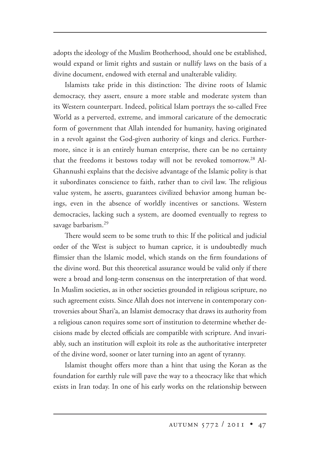adopts the ideology of the Muslim Brotherhood, should one be established, would expand or limit rights and sustain or nullify laws on the basis of a divine document, endowed with eternal and unalterable validity.

Islamists take pride in this distinction: The divine roots of Islamic democracy, they assert, ensure a more stable and moderate system than its Western counterpart. Indeed, political Islam portrays the so-called Free World as a perverted, extreme, and immoral caricature of the democratic form of government that Allah intended for humanity, having originated in a revolt against the God-given authority of kings and clerics. Furthermore, since it is an entirely human enterprise, there can be no certainty that the freedoms it bestows today will not be revoked tomorrow.<sup>28</sup> Al-Ghannushi explains that the decisive advantage of the Islamic polity is that it subordinates conscience to faith, rather than to civil law. The religious value system, he asserts, guarantees civilized behavior among human beings, even in the absence of worldly incentives or sanctions. Western democracies, lacking such a system, are doomed eventually to regress to savage barbarism.<sup>29</sup>

There would seem to be some truth to this: If the political and judicial order of the West is subject to human caprice, it is undoubtedly much flimsier than the Islamic model, which stands on the firm foundations of the divine word. But this theoretical assurance would be valid only if there were a broad and long-term consensus on the interpretation of that word. In Muslim societies, as in other societies grounded in religious scripture, no such agreement exists. Since Allah does not intervene in contemporary controversies about Shari'a, an Islamist democracy that draws its authority from a religious canon requires some sort of institution to determine whether decisions made by elected officials are compatible with scripture. And invariably, such an institution will exploit its role as the authoritative interpreter of the divine word, sooner or later turning into an agent of tyranny.

Islamist thought offers more than a hint that using the Koran as the foundation for earthly rule will pave the way to a theocracy like that which exists in Iran today. In one of his early works on the relationship between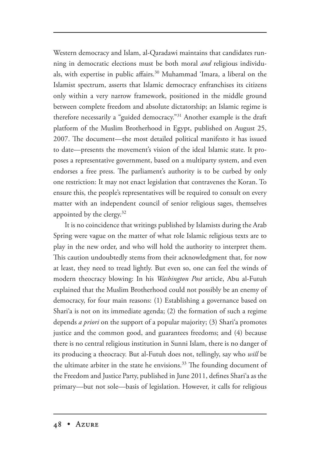Western democracy and Islam, al-Qaradawi maintains that candidates running in democratic elections must be both moral *and* religious individuals, with expertise in public affairs.<sup>30</sup> Muhammad 'Imara, a liberal on the Islamist spectrum, asserts that Islamic democracy enfranchises its citizens only within a very narrow framework, positioned in the middle ground between complete freedom and absolute dictatorship; an Islamic regime is therefore necessarily a "guided democracy."31 Another example is the draft platform of the Muslim Brotherhood in Egypt, published on August 25, 2007. The document—the most detailed political manifesto it has issued to date—presents the movement's vision of the ideal Islamic state. It proposes a representative government, based on a multiparty system, and even endorses a free press. The parliament's authority is to be curbed by only one restriction: It may not enact legislation that contravenes the Koran. To ensure this, the people's representatives will be required to consult on every matter with an independent council of senior religious sages, themselves appointed by the clergy. $32$ 

It is no coincidence that writings published by Islamists during the Arab Spring were vague on the matter of what role Islamic religious texts are to play in the new order, and who will hold the authority to interpret them. This caution undoubtedly stems from their acknowledgment that, for now at least, they need to tread lightly. But even so, one can feel the winds of modern theocracy blowing: In his *Washington Post* article, Abu al-Futuh explained that the Muslim Brotherhood could not possibly be an enemy of democracy, for four main reasons: (1) Establishing a governance based on Shari'a is not on its immediate agenda; (2) the formation of such a regime depends *a priori* on the support of a popular majority; (3) Shari'a promotes justice and the common good, and guarantees freedoms; and (4) because there is no central religious institution in Sunni Islam, there is no danger of its producing a theocracy. But al-Futuh does not, tellingly, say who *will* be the ultimate arbiter in the state he envisions.<sup>33</sup> The founding document of the Freedom and Justice Party, published in June 2011, defines Shari'a as the primary—but not sole—basis of legislation. However, it calls for religious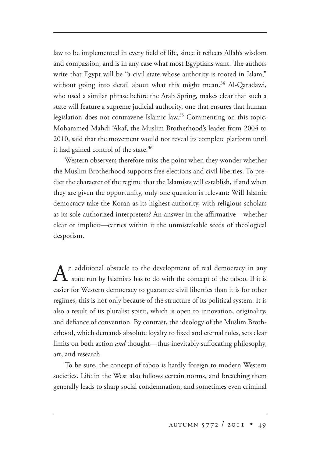law to be implemented in every field of life, since it reflects Allah's wisdom and compassion, and is in any case what most Egyptians want. The authors write that Egypt will be "a civil state whose authority is rooted in Islam," without going into detail about what this might mean.<sup>34</sup> Al-Qaradawi, who used a similar phrase before the Arab Spring, makes clear that such a state will feature a supreme judicial authority, one that ensures that human legislation does not contravene Islamic law.<sup>35</sup> Commenting on this topic, Mohammed Mahdi 'Akaf, the Muslim Brotherhood's leader from 2004 to 2010, said that the movement would not reveal its complete platform until it had gained control of the state.<sup>36</sup>

Western observers therefore miss the point when they wonder whether the Muslim Brotherhood supports free elections and civil liberties. To predict the character of the regime that the Islamists will establish, if and when they are given the opportunity, only one question is relevant: Will Islamic democracy take the Koran as its highest authority, with religious scholars as its sole authorized interpreters? An answer in the affirmative—whether clear or implicit—carries within it the unmistakable seeds of theological despotism.

 $A$ <sup>n</sup> additional obstacle to the development of real democracy in any state run by Islamists has to do with the concept of the taboo. If it is easier for Western democracy to guarantee civil liberties than it is for other regimes, this is not only because of the structure of its political system. It is also a result of its pluralist spirit, which is open to innovation, originality, and defiance of convention. By contrast, the ideology of the Muslim Brotherhood, which demands absolute loyalty to fixed and eternal rules, sets clear limits on both action *and* thought—thus inevitably suffocating philosophy, art, and research.

To be sure, the concept of taboo is hardly foreign to modern Western societies. Life in the West also follows certain norms, and breaching them generally leads to sharp social condemnation, and sometimes even criminal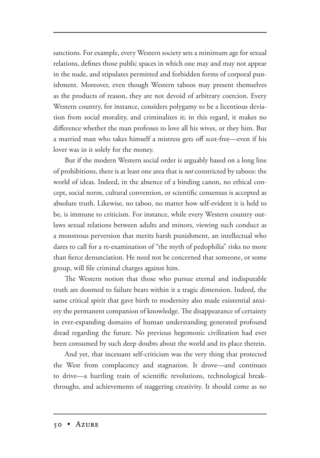sanctions. For example, every Western society sets a minimum age for sexual relations, defines those public spaces in which one may and may not appear in the nude, and stipulates permitted and forbidden forms of corporal punishment. Moreover, even though Western taboos may present themselves as the products of reason, they are not devoid of arbitrary coercion. Every Western country, for instance, considers polygamy to be a licentious deviation from social morality, and criminalizes it; in this regard, it makes no difference whether the man professes to love all his wives, or they him. But a married man who takes himself a mistress gets off scot-free—even if his lover was in it solely for the money.

But if the modern Western social order is arguably based on a long line of prohibitions, there is at least one area that is *not* constricted by taboos: the world of ideas. Indeed, in the absence of a binding canon, no ethical concept, social norm, cultural convention, or scientific consensus is accepted as absolute truth. Likewise, no taboo, no matter how self-evident it is held to be, is immune to criticism. For instance, while every Western country outlaws sexual relations between adults and minors, viewing such conduct as a monstrous perversion that merits harsh punishment, an intellectual who dares to call for a re-examination of "the myth of pedophilia" risks no more than fierce denunciation. He need not be concerned that someone, or some group, will file criminal charges against him.

The Western notion that those who pursue eternal and indisputable truth are doomed to failure bears within it a tragic dimension. Indeed, the same critical spirit that gave birth to modernity also made existential anxiety the permanent companion of knowledge. The disappearance of certainty in ever-expanding domains of human understanding generated profound dread regarding the future. No previous hegemonic civilization had ever been consumed by such deep doubts about the world and its place therein.

And yet, that incessant self-criticism was the very thing that protected the West from complacency and stagnation. It drove—and continues to drive—a hurtling train of scientific revolutions, technological breakthroughs, and achievements of staggering creativity. It should come as no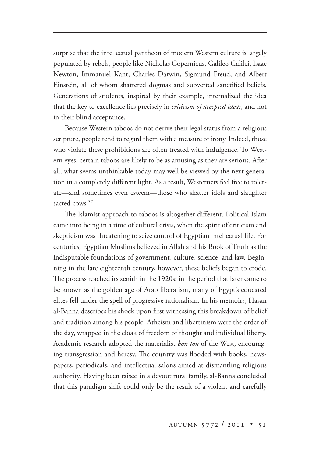surprise that the intellectual pantheon of modern Western culture is largely populated by rebels, people like Nicholas Copernicus, Galileo Galilei, Isaac Newton, Immanuel Kant, Charles Darwin, Sigmund Freud, and Albert Einstein, all of whom shattered dogmas and subverted sanctified beliefs. Generations of students, inspired by their example, internalized the idea that the key to excellence lies precisely in *criticism of accepted ideas*, and not in their blind acceptance.

Because Western taboos do not derive their legal status from a religious scripture, people tend to regard them with a measure of irony. Indeed, those who violate these prohibitions are often treated with indulgence. To Western eyes, certain taboos are likely to be as amusing as they are serious. After all, what seems unthinkable today may well be viewed by the next generation in a completely different light. As a result, Westerners feel free to tolerate—and sometimes even esteem—those who shatter idols and slaughter sacred cows.<sup>37</sup>

The Islamist approach to taboos is altogether different. Political Islam came into being in a time of cultural crisis, when the spirit of criticism and skepticism was threatening to seize control of Egyptian intellectual life. For centuries, Egyptian Muslims believed in Allah and his Book of Truth as the indisputable foundations of government, culture, science, and law. Beginning in the late eighteenth century, however, these beliefs began to erode. The process reached its zenith in the 1920s; in the period that later came to be known as the golden age of Arab liberalism, many of Egypt's educated elites fell under the spell of progressive rationalism. In his memoirs, Hasan al-Banna describes his shock upon first witnessing this breakdown of belief and tradition among his people. Atheism and libertinism were the order of the day, wrapped in the cloak of freedom of thought and individual liberty. Academic research adopted the materialist *bon ton* of the West, encouraging transgression and heresy. The country was flooded with books, newspapers, periodicals, and intellectual salons aimed at dismantling religious authority. Having been raised in a devout rural family, al-Banna concluded that this paradigm shift could only be the result of a violent and carefully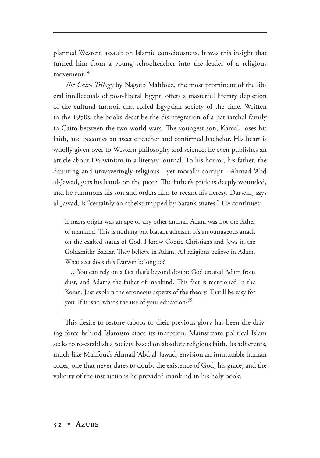planned Western assault on Islamic consciousness. It was this insight that turned him from a young schoolteacher into the leader of a religious movement.<sup>38</sup>

*The Cairo Trilogy* by Naguib Mahfouz, the most prominent of the liberal intellectuals of post-liberal Egypt, offers a masterful literary depiction of the cultural turmoil that roiled Egyptian society of the time. Written in the 1950s, the books describe the disintegration of a patriarchal family in Cairo between the two world wars. The youngest son, Kamal, loses his faith, and becomes an ascetic teacher and confirmed bachelor. His heart is wholly given over to Western philosophy and science; he even publishes an article about Darwinism in a literary journal. To his horror, his father, the daunting and unwaveringly religious—yet morally corrupt—Ahmad 'Abd al-Jawad, gets his hands on the piece. The father's pride is deeply wounded, and he summons his son and orders him to recant his heresy. Darwin, says al-Jawad, is "certainly an atheist trapped by Satan's snares." He continues:

If man's origin was an ape or any other animal, Adam was not the father of mankind. This is nothing but blatant atheism. It's an outrageous attack on the exalted status of God. I know Coptic Christians and Jews in the Goldsmiths Bazaar. They believe in Adam. All religions believe in Adam. What sect does this Darwin belong to?

…You can rely on a fact that's beyond doubt: God created Adam from dust, and Adam's the father of mankind. This fact is mentioned in the Koran. Just explain the erroneous aspects of the theory. That'll be easy for you. If it isn't, what's the use of your education?<sup>39</sup>

This desire to restore taboos to their previous glory has been the driving force behind Islamism since its inception. Mainstream political Islam seeks to re-establish a society based on absolute religious faith. Its adherents, much like Mahfouz's Ahmad 'Abd al-Jawad, envision an immutable human order, one that never dares to doubt the existence of God, his grace, and the validity of the instructions he provided mankind in his holy book.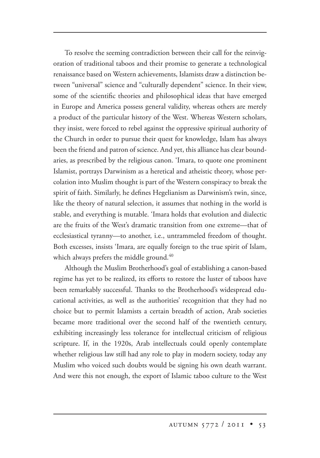To resolve the seeming contradiction between their call for the reinvigoration of traditional taboos and their promise to generate a technological renaissance based on Western achievements, Islamists draw a distinction between "universal" science and "culturally dependent" science. In their view, some of the scientific theories and philosophical ideas that have emerged in Europe and America possess general validity, whereas others are merely a product of the particular history of the West. Whereas Western scholars, they insist, were forced to rebel against the oppressive spiritual authority of the Church in order to pursue their quest for knowledge, Islam has always been the friend and patron of science. And yet, this alliance has clear boundaries, as prescribed by the religious canon. 'Imara, to quote one prominent Islamist, portrays Darwinism as a heretical and atheistic theory, whose percolation into Muslim thought is part of the Western conspiracy to break the spirit of faith. Similarly, he defines Hegelianism as Darwinism's twin, since, like the theory of natural selection, it assumes that nothing in the world is stable, and everything is mutable. 'Imara holds that evolution and dialectic are the fruits of the West's dramatic transition from one extreme—that of ecclesiastical tyranny—to another, i.e., untrammeled freedom of thought. Both excesses, insists 'Imara, are equally foreign to the true spirit of Islam, which always prefers the middle ground.<sup>40</sup>

Although the Muslim Brotherhood's goal of establishing a canon-based regime has yet to be realized, its efforts to restore the luster of taboos have been remarkably successful. Thanks to the Brotherhood's widespread educational activities, as well as the authorities' recognition that they had no choice but to permit Islamists a certain breadth of action, Arab societies became more traditional over the second half of the twentieth century, exhibiting increasingly less tolerance for intellectual criticism of religious scripture. If, in the 1920s, Arab intellectuals could openly contemplate whether religious law still had any role to play in modern society, today any Muslim who voiced such doubts would be signing his own death warrant. And were this not enough, the export of Islamic taboo culture to the West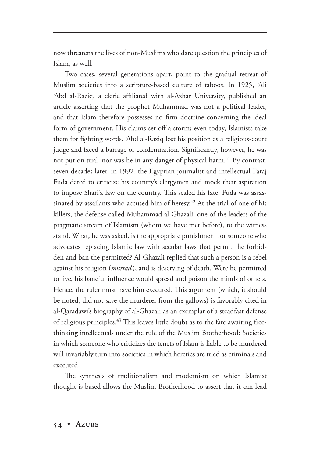now threatens the lives of non-Muslims who dare question the principles of Islam, as well.

Two cases, several generations apart, point to the gradual retreat of Muslim societies into a scripture-based culture of taboos. In 1925, 'Ali 'Abd al-Raziq, a cleric affiliated with al-Azhar University, published an article asserting that the prophet Muhammad was not a political leader, and that Islam therefore possesses no firm doctrine concerning the ideal form of government. His claims set off a storm; even today, Islamists take them for fighting words. 'Abd al-Raziq lost his position as a religious-court judge and faced a barrage of condemnation. Significantly, however, he was not put on trial, nor was he in any danger of physical harm.<sup>41</sup> By contrast, seven decades later, in 1992, the Egyptian journalist and intellectual Faraj Fuda dared to criticize his country's clergymen and mock their aspiration to impose Shari'a law on the country. This sealed his fate: Fuda was assassinated by assailants who accused him of heresy.<sup> $42$ </sup> At the trial of one of his killers, the defense called Muhammad al-Ghazali, one of the leaders of the pragmatic stream of Islamism (whom we have met before), to the witness stand. What, he was asked, is the appropriate punishment for someone who advocates replacing Islamic law with secular laws that permit the forbidden and ban the permitted? Al-Ghazali replied that such a person is a rebel against his religion (*murtad* ), and is deserving of death. Were he permitted to live, his baneful influence would spread and poison the minds of others. Hence, the ruler must have him executed. This argument (which, it should be noted, did not save the murderer from the gallows) is favorably cited in al-Qaradawi's biography of al-Ghazali as an exemplar of a steadfast defense of religious principles.<sup>43</sup> This leaves little doubt as to the fate awaiting freethinking intellectuals under the rule of the Muslim Brotherhood: Societies in which someone who criticizes the tenets of Islam is liable to be murdered will invariably turn into societies in which heretics are tried as criminals and executed.

The synthesis of traditionalism and modernism on which Islamist thought is based allows the Muslim Brotherhood to assert that it can lead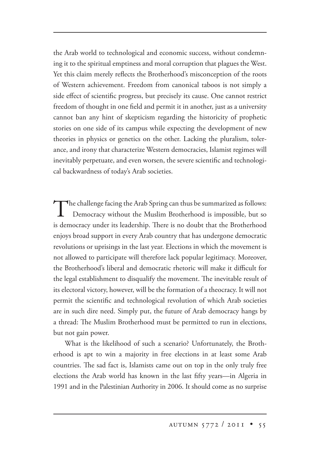the Arab world to technological and economic success, without condemning it to the spiritual emptiness and moral corruption that plagues the West. Yet this claim merely reflects the Brotherhood's misconception of the roots of Western achievement. Freedom from canonical taboos is not simply a side effect of scientific progress, but precisely its cause. One cannot restrict freedom of thought in one field and permit it in another, just as a university cannot ban any hint of skepticism regarding the historicity of prophetic stories on one side of its campus while expecting the development of new theories in physics or genetics on the other. Lacking the pluralism, tolerance, and irony that characterize Western democracies, Islamist regimes will inevitably perpetuate, and even worsen, the severe scientific and technological backwardness of today's Arab societies.

The challenge facing the Arab Spring can thus be summarized as follows: Democracy without the Muslim Brotherhood is impossible, but so is democracy under its leadership. There is no doubt that the Brotherhood enjoys broad support in every Arab country that has undergone democratic revolutions or uprisings in the last year. Elections in which the movement is not allowed to participate will therefore lack popular legitimacy. Moreover, the Brotherhood's liberal and democratic rhetoric will make it difficult for the legal establishment to disqualify the movement. The inevitable result of its electoral victory, however, will be the formation of a theocracy. It will not permit the scientific and technological revolution of which Arab societies are in such dire need. Simply put, the future of Arab democracy hangs by a thread: The Muslim Brotherhood must be permitted to run in elections, but not gain power.

What is the likelihood of such a scenario? Unfortunately, the Brotherhood is apt to win a majority in free elections in at least some Arab countries. The sad fact is, Islamists came out on top in the only truly free elections the Arab world has known in the last fifty years—in Algeria in 1991 and in the Palestinian Authority in 2006. It should come as no surprise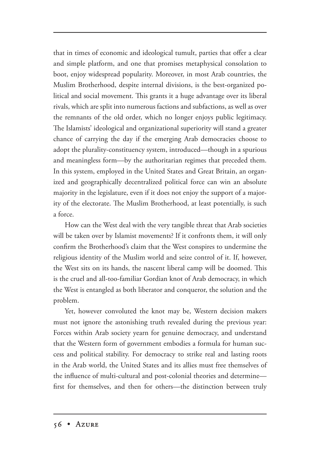that in times of economic and ideological tumult, parties that offer a clear and simple platform, and one that promises metaphysical consolation to boot, enjoy widespread popularity. Moreover, in most Arab countries, the Muslim Brotherhood, despite internal divisions, is the best-organized political and social movement. This grants it a huge advantage over its liberal rivals, which are split into numerous factions and subfactions, as well as over the remnants of the old order, which no longer enjoys public legitimacy. The Islamists' ideological and organizational superiority will stand a greater chance of carrying the day if the emerging Arab democracies choose to adopt the plurality-constituency system, introduced—though in a spurious and meaningless form—by the authoritarian regimes that preceded them. In this system, employed in the United States and Great Britain, an organized and geographically decentralized political force can win an absolute majority in the legislature, even if it does not enjoy the support of a majority of the electorate. The Muslim Brotherhood, at least potentially, is such a force.

How can the West deal with the very tangible threat that Arab societies will be taken over by Islamist movements? If it confronts them, it will only confirm the Brotherhood's claim that the West conspires to undermine the religious identity of the Muslim world and seize control of it. If, however, the West sits on its hands, the nascent liberal camp will be doomed. This is the cruel and all-too-familiar Gordian knot of Arab democracy, in which the West is entangled as both liberator and conqueror, the solution and the problem.

Yet, however convoluted the knot may be, Western decision makers must not ignore the astonishing truth revealed during the previous year: Forces within Arab society yearn for genuine democracy, and understand that the Western form of government embodies a formula for human success and political stability. For democracy to strike real and lasting roots in the Arab world, the United States and its allies must free themselves of the influence of multi-cultural and post-colonial theories and determine first for themselves, and then for others—the distinction between truly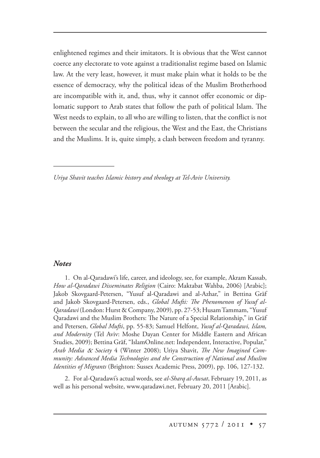enlightened regimes and their imitators. It is obvious that the West cannot coerce any electorate to vote against a traditionalist regime based on Islamic law. At the very least, however, it must make plain what it holds to be the essence of democracy, why the political ideas of the Muslim Brotherhood are incompatible with it, and, thus, why it cannot offer economic or diplomatic support to Arab states that follow the path of political Islam. The West needs to explain, to all who are willing to listen, that the conflict is not between the secular and the religious, the West and the East, the Christians and the Muslims. It is, quite simply, a clash between freedom and tyranny.

*Uriya Shavit teaches Islamic history and theology at Tel-Aviv University.*

## *Notes*

1. On al-Qaradawi's life, career, and ideology, see, for example, Akram Kassab, *How al-Qaradawi Disseminates Religion* (Cairo: Maktabat Wahba, 2006) [Arabic]; Jakob Skovgaard-Petersen, "Yusuf al-Qaradawi and al-Azhar," in Bettina Gräf and Jakob Skovgaard-Petersen, eds., Global Mufti: The Phenomenon of Yusuf al-*Qaradawi* (London: Hurst & Company, 2009), pp. 27-53; Husam Tammam, "Yusuf 2009), Qaradawi and the Muslim Brothers: The Nature of a Special Relationship," in Gräf and Petersen, *Global Mufti*, pp. 55-83; Samuel Helfont, *Yusuf al-Qaradawi, Islam, and Modernity* (Tel Aviv: Moshe Dayan Center for Middle Eastern and African Studies, 2009); Bettina Gräf, "IslamOnline.net: Independent, Interactive, Popular," *Arab Media & Society* 4 (Winter 2008); Uriya Shavit, *The New Imagined Community: Advanced Media Technologies and the Construction of National and Muslim Identities of Migrants* (Brighton: Sussex Academic Press, 2009), pp. 106, 127-132.

2. For al-Qaradawi's actual words, see *al-Sharq al-Awsat* , February 19, 2011, as well as his personal website, www.qaradawi.net, February 20, 2011 [Arabic].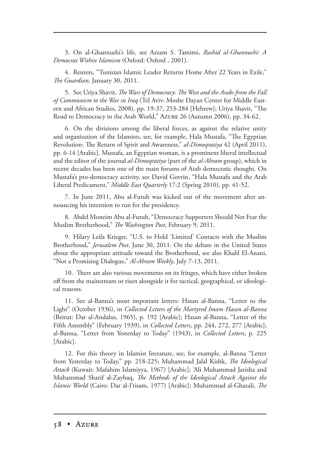3. On al-Ghannushi's life, see Azzam S. Tamimi, *Rashid al-Ghannushi: A Democrat Within Islamism* (Oxford: Oxford , 2001).

4. Reuters, "Tunisian Islamic Leader Returns Home After 22 Years in Exile," *e Guardian,* January 30, 2011.

5. See Uriya Shavit, *The Wars of Democracy: The West and the Arabs from the Fall of Communism to the War in Iraq* (Tel Aviv: Moshe Dayan Center for Middle Eastern and African Studies, 2008), pp. 19-37, 253-284 [Hebrew]; Uriya Shavit, "The Road to Democracy in the Arab World," Azure 26 (Autumn 2006), pp. 34-62.

6. On the divisions among the liberal forces, as against the relative unity and organization of the Islamists, see, for example, Hala Mustafa, "The Egyptian Revolution: The Return of Spirit and Awareness," *al-Dimoqratiya* 42 (April 2011), pp. 6-14 [Arabic]. Mustafa, an Egyptian woman, is a prominent liberal intellectual and the editor of the journal *al-Dimoqratiya* (part of the *al-Ahram* group), which in recent decades has been one of the main forums of Arab democratic thought. On Mustafa's pro-democracy activity, see David Govrin, "Hala Mustafa and the Arab Liberal Predicament," *Middle East Quarterly* 17:2 (Spring 2010), pp. 41-52.

7. In June 2011, Abu al-Futuh was kicked out of the movement after announcing his intention to run for the presidency.

8. Abdel Moneim Abu al-Futuh, "Democracy Supporters Should Not Fear the Muslim Brotherhood," *The Washington Post*, February 9, 2011.

9. Hilary Leila Krieger, "U.S. to Hold 'Limited' Contacts with the Muslim Brotherhood," *Jerusalem Post* , June 30, 2011. On the debate in the United States about the appropriate attitude toward the Brotherhood, see also Khalil El-Anani, "Not a Promising Dialogue," *Al-Ahram Weekly*, July 7-13, 2011.

10. There are also various movements on its fringes, which have either broken off from the mainstream or risen alongside it for tactical, geographical, or ideological reasons.

11. See al-Banna's most important letters: Hasan al-Banna, "Letter to the Light" (October 1936), in *Collected Letters of the Martyred Imam Hasan al-Banna* (Beirut: Dar al-Andalus, 1965), p. 192 [Arabic]; Hasan al-Banna, "Letter of the Fifth Assembly" (February 1939), in *Collected Letters*, pp. 244, 272, 277 [Arabic]; al-Banna, "Letter from Yesterday to Today" (1943), in *Collected Letters*, p. 225 [Arabic].

12. For this theory in Islamist literature, see, for example, al-Banna "Letter from Yesterday to Today," pp. 218-225; Muhammad Jalal Kishk, *The Ideological Attack* (Kuwait: Mafahim Islamiyya, 1967) [Arabic]; 'Ali Muhammad Jarisha and Muhammad Sharif al-Zaybaq, *The Methods of the Ideological Attack Against the Islamic World* (Cairo: Dar al-I'tisam, 1977) [Arabic]; Muhammad al-Ghazali, *The*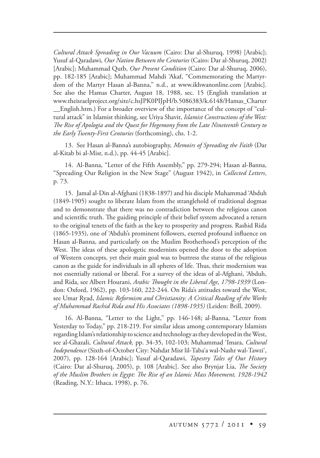*Cultural Attack Spreading in Our Vacuum* (Cairo: Dar al-Shuruq, 1998) [Arabic]; Yusuf al-Qaradawi, *Our Nation Between the Centuries* (Cairo: Dar al-Shuruq, 2002) [Arabic]; Muhammad Qutb, *Our Present Condition* (Cairo: Dar al-Shuruq, 2006), pp. 182-185 [Arabic]; Muhammad Mahdi 'Akaf, "Commemorating the Martyrdom of the Martyr Hasan al-Banna," n.d., at www.ikhwanonline.com [Arabic]. See also the Hamas Charter, August 18, 1988, sec. 15 (English translation at www.theisraelproject.org/site/c.hsJPK0PIJpH/b.5086383/k.6148/Hamas\_Charter \_\_English.htm.) For a broader overview of the importance of the concept of "cultural attack" in Islamist thinking, see Uriya Shavit, *Islamist Constructions of the West: e Rise of Apologia and the Quest for Hegemony from the Late Nineteenth Century to the Early Twenty-First Centuries* (forthcoming), chs. 1-2.

13. See Hasan al-Banna's autobiography, *Memoirs of Spreading the Faith* (Dar al-Kitab bi al-Misr, n.d.), pp. 44-45 [Arabic].

14. Al-Banna, "Letter of the Fifth Assembly," pp. 279-294; Hasan al-Banna, "Spreading Our Religion in the New Stage" (August 1942), in *Collected Letters*, p. 73.

15. Jamal al-Din al-Afghani (1838-1897) and his disciple Muhammad 'Abduh (1849-1905) sought to liberate Islam from the stranglehold of traditional dogmas and to demonstrate that there was no contradiction between the religious canon and scientific truth. The guiding principle of their belief system advocated a return to the original tenets of the faith as the key to prosperity and progress. Rashid Rida (1865-1935), one of 'Abduh's prominent followers, exerted profound influence on Hasan al-Banna, and particularly on the Muslim Brotherhood's perception of the West. The ideas of these apologetic modernists opened the door to the adoption of Western concepts, yet their main goal was to buttress the status of the religious canon as the guide for individuals in all spheres of life. Thus, their modernism was not essentially rational or liberal. For a survey of the ideas of al-Afghani, 'Abduh, and Rida, see Albert Hourani, *Arabic Thought in the Liberal Age*, 1798-1939 (London: Oxford, 1962), pp. 103-160, 222-244. On Rida's attitudes toward the West, see Umar Ryad, *Islamic Reformism and Christianity: A Critical Reading of the Works of Muhammad Rachid Rida and His Associates (1898-1935)* (Leiden: Brill, 2009).

16. Al-Banna, "Letter to the Light," pp. 146-148; al-Banna, "Letter from Yesterday to Today," pp. 218-219. For similar ideas among contemporary Islamists regarding Islam's relationship to science and technology as they developed in the West, see al-Ghazali, *Cultural Attack,* pp. 34-35, 102-103; Muhammad 'Imara, *Cultural Independence* (Sixth-of-October City: Nahdat Misr lil-Taba'a wal-Nashr wal-Tawzi', 2007), pp. 128-164 [Arabic]; Yusuf al-Qaradawi, *Tapestry Tales of Our History* (Cairo: Dar al-Shuruq, 2005), p. 108 [Arabic]. See also Brynjar Lia, *The Society* of the Muslim Brothers in Egypt: The Rise of an Islamic Mass Movement, 1928-1942 (Reading, N.Y.: Ithaca, 1998), p. 76.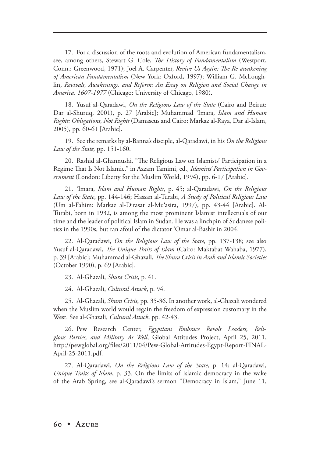17. For a discussion of the roots and evolution of American fundamentalism, see, among others, Stewart G. Cole, *The History of Fundamentalism* (Westport, Conn.: Greenwood, 1971); Joel A. Carpenter, *Revive Us Again: The Re-awakening of American Fundamentalism* (New York: Oxford, 1997); William G. McLoughlin, *Revivals, Awakenings, and Reform: An Essay on Religion and Social Change in America, 1607-1977* (Chicago: University of Chicago, 1980).

18. Yusuf al-Qaradawi, *On the Religious Law of the State* (Cairo and Beirut: Dar al-Shuruq, 2001), p. 27 [Arabic]; Muhammad 'Imara, *Islam and Human Rights: Obligations, Not Rights* (Damascus and Cairo: Markaz al-Raya, Dar al-Islam, 2005), pp. 60-61 [Arabic].

19. See the remarks by al-Banna's disciple, al-Qaradawi, in his *On the Religious Law of the State,* pp. 151-160.

20. Rashid al-Ghannushi, "The Religious Law on Islamists' Participation in a Regime That Is Not Islamic," in Azzam Tamimi, ed., *Islamists' Participation in Government* (London: Liberty for the Muslim World, 1994), pp. 6-17 [Arabic].

21. 'Imara, *Islam and Human Rights*, p. 45; al-Qaradawi, *On the Religious Law of the State*, pp. 144-146; Hassan al-Turabi, *A Study of Political Religious Law* (Um al-Fahim: Markaz al-Dirasat al-Mu'asira, 1997), pp. 43-44 [Arabic]. Al-Turabi, born in 1932, is among the most prominent Islamist intellectuals of our time and the leader of political Islam in Sudan. He was a linchpin of Sudanese politics in the 1990s, but ran afoul of the dictator 'Omar al-Bashir in 2004.

22. Al-Qaradawi, *On the Religious Law of the State*, pp. 137-138; see also Yusuf al-Qaradawi, *The Unique Traits of Islam* (Cairo: Maktabat Wahaba, 1977), p. 39 [Arabic]; Muhammad al-Ghazali, *The Shura Crisis in Arab and Islamic Societies* (October 1990), p. 69 [Arabic].

23. Al-Ghazali, *Shura Crisis*, p. 41.

24. Al-Ghazali, *Cultural Attack*, p. 94.

25. Al-Ghazali, *Shura Crisis*, pp. 35-36. In another work, al-Ghazali wondered when the Muslim world would regain the freedom of expression customary in the West. See al-Ghazali, *Cultural Attack*, pp. 42-43.

26. Pew Research Center, *Egyptians Embrace Revolt Leaders, Religious Parties, and Military As Well* , Global Attitudes Project, April 25, 2011, http://pewglobal.org/files/2011/04/Pew-Global-Attitudes-Egypt-Report-FINAL-April-25-2011.pdf.

27. Al-Qaradawi, *On the Religious Law of the State*, p. 14; al-Qaradawi, *Unique Traits of Islam*, p. 33. On the limits of Islamic democracy in the wake of the Arab Spring, see al-Qaradawi's sermon "Democracy in Islam," June 11,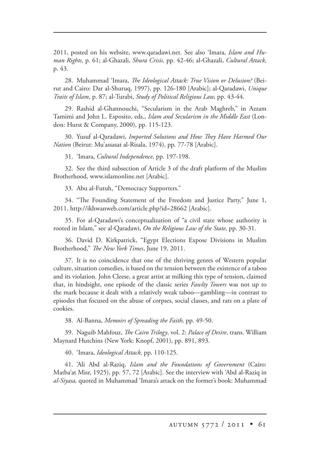2011, posted on his website, www.qaradawi.net. See also 'Imara, *Islam and Human Rights*, p. 61; al-Ghazali, *Shura Crisis*, pp. 42-46; al-Ghazali, *Cultural Attack,*  p. 43.

28. Muhammad 'Imara, *The Ideological Attack: True Vision or Delusion*? (Beirut and Cairo: Dar al-Shuruq, 1997), pp. 126-180 [Arabic]; al-Qaradawi, *Unique Traits of Islam*, p. 87; al-Turabi, *Study of Political Religious Law,* pp. 43-44.

29. Rashid al-Ghannouchi, "Secularism in the Arab Maghreb," in Azzam Tamimi and John L. Esposito, eds., *Islam and Secularism in the Middle East* (London: Hurst & Company, 2000), pp. 115-123.

30. Yusuf al-Qaradawi, *Imported Solutions and How They Have Harmed Our Nation* (Beirut: Mu'assasat al-Risala, 1974), pp. 77-78 [Arabic].

31. 'Imara, *Cultural Independence,* pp. 197-198.

32. See the third subsection of Article 3 of the draft platform of the Muslim Brotherhood, www.islamonline.net [Arabic].

33. Abu al-Futuh, "Democracy Supporters."

34. "The Founding Statement of the Freedom and Justice Party," June 1, 2011, http://ikhwanweb.com/article.php?id=28662 [Arabic].

35. For al-Qaradawi's conceptualization of "a civil state whose authority is rooted in Islam," see al-Qaradawi, *On the Religious Law of the State*, pp. 30-31.

36. David D. Kirkpatrick, "Egypt Elections Expose Divisions in Muslim Brotherhood," *The New York Times*, June 19, 2011.

37. It is no coincidence that one of the thriving genres of Western popular culture, situation comedies, is based on the tension between the existence of a taboo and its violation. John Cleese, a great artist at milking this type of tension, claimed that, in hindsight, one episode of the classic series *Fawlty Towers* was not up to the mark because it dealt with a relatively weak taboo—gambling—in contrast to episodes that focused on the abuse of corpses, social classes, and rats on a plate of cookies.

38. Al-Banna, *Memoirs of Spreading the Faith,* pp. 49-50.

39. Naguib Mahfouz, *The Cairo Trilogy*, vol. 2: *Palace of Desire*, trans. William Maynard Hutchins (New York: Knopf, 2001), pp. 891, 893.

40. 'Imara, *Ideological Attack,* pp. 110-125.

41. 'Ali Abd al-Raziq, *Islam and the Foundations of Government* (Cairo: Matba'at Misr, 1925), pp. 57, 72 [Arabic]. See the interview with 'Abd al-Raziq in *al-Siyasa,* quoted in Muhammad 'Imara's attack on the former's book: Muhammad